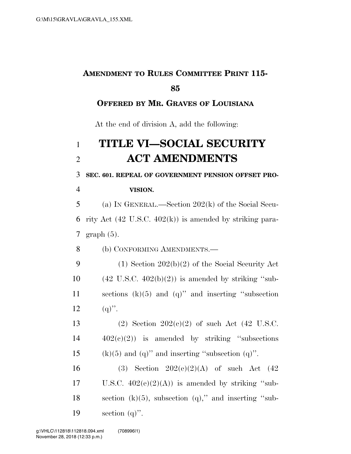### **AMENDMENT TO RULES COMMITTEE PRINT 115- 85**

#### **OFFERED BY MR. GRAVES OF LOUISIANA**

At the end of division A, add the following:

## 1 **TITLE VI—SOCIAL SECURITY**  2 **ACT AMENDMENTS**

3 **SEC. 601. REPEAL OF GOVERNMENT PENSION OFFSET PRO-**

4 **VISION.** 

# 5 (a) IN GENERAL.—Section 202(k) of the Social Secu-

6 rity Act  $(42 \text{ U.S.C. } 402 \text{ (k)})$  is amended by striking para-7 graph (5).

8 (b) CONFORMING AMENDMENTS.—

 (1) Section 202(b)(2) of the Social Security Act  $(42 \text{ U.S.C. } 402(b)(2))$  is amended by striking "sub- sections (k)(5) and (q)'' and inserting ''subsection 12  $(a)$ ".

13 (2) Section  $202(e)(2)$  of such Act (42 U.S.C.  $14 \qquad \qquad 402(e)(2)$  is amended by striking "subsections" 15 (k)(5) and (q)" and inserting "subsection (q)".

16 (3) Section  $202(e)(2)(A)$  of such Act  $(42)$ 17 U.S.C.  $402(e)(2)(A)$  is amended by striking "sub-18 section  $(k)(5)$ , subsection  $(q)$ ," and inserting "sub-19 section  $(q)$ ".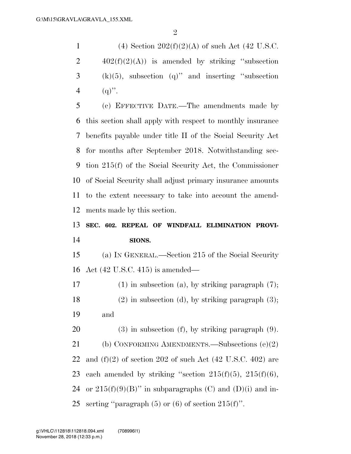1 (4) Section  $202(f)(2)(A)$  of such Act (42 U.S.C.  $402(f)(2)(A)$  is amended by striking "subsection (k)(5), subsection (q)" and inserting "subsection 4 (q)". (c) EFFECTIVE DATE.—The amendments made by this section shall apply with respect to monthly insurance

 benefits payable under title II of the Social Security Act for months after September 2018. Notwithstanding sec- tion 215(f) of the Social Security Act, the Commissioner of Social Security shall adjust primary insurance amounts to the extent necessary to take into account the amend-ments made by this section.

### **SEC. 602. REPEAL OF WINDFALL ELIMINATION PROVI-SIONS.**

 (a) IN GENERAL.—Section 215 of the Social Security Act (42 U.S.C. 415) is amended—

 (1) in subsection (a), by striking paragraph (7); (2) in subsection (d), by striking paragraph (3); and

 (3) in subsection (f), by striking paragraph (9). (b) CONFORMING AMENDMENTS.—Subsections (e)(2) 22 and  $(f)(2)$  of section 202 of such Act  $(42 \text{ U.S.C. } 402)$  are 23 each amended by striking "section  $215(f)(5)$ ,  $215(f)(6)$ , 24 or  $215(f)(9)(B)$ " in subparagraphs (C) and (D)(i) and in-25 serting "paragraph  $(5)$  or  $(6)$  of section  $215(f)$ ".